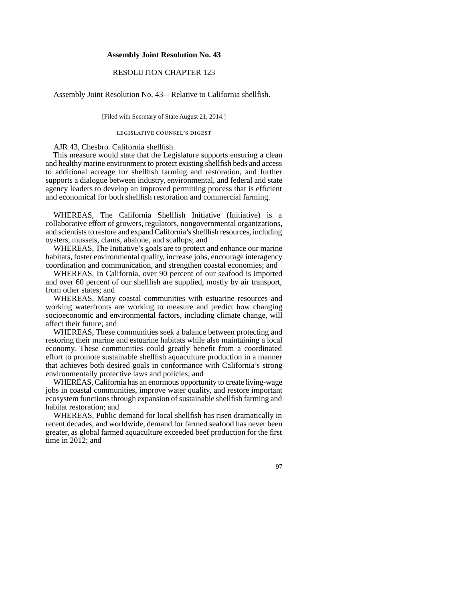## **Assembly Joint Resolution No. 43**

## RESOLUTION CHAPTER 123

Assembly Joint Resolution No. 43—Relative to California shellfish.

[Filed with Secretary of State August 21, 2014.]

## legislative counsel' s digest

AJR 43, Chesbro. California shellfish.

This measure would state that the Legislature supports ensuring a clean and healthy marine environment to protect existing shellfish beds and access to additional acreage for shellfish farming and restoration, and further supports a dialogue between industry, environmental, and federal and state agency leaders to develop an improved permitting process that is efficient and economical for both shellfish restoration and commercial farming.

WHEREAS, The California Shellfish Initiative (Initiative) is a collaborative effort of growers, regulators, nongovernmental organizations, and scientists to restore and expand California's shellfish resources, including oysters, mussels, clams, abalone, and scallops; and

WHEREAS, The Initiative's goals are to protect and enhance our marine habitats, foster environmental quality, increase jobs, encourage interagency coordination and communication, and strengthen coastal economies; and

WHEREAS, In California, over 90 percent of our seafood is imported and over 60 percent of our shellfish are supplied, mostly by air transport, from other states; and

WHEREAS, Many coastal communities with estuarine resources and working waterfronts are working to measure and predict how changing socioeconomic and environmental factors, including climate change, will affect their future; and

WHEREAS, These communities seek a balance between protecting and restoring their marine and estuarine habitats while also maintaining a local economy. These communities could greatly benefit from a coordinated effort to promote sustainable shellfish aquaculture production in a manner that achieves both desired goals in conformance with California's strong environmentally protective laws and policies; and

WHEREAS, California has an enormous opportunity to create living-wage jobs in coastal communities, improve water quality, and restore important ecosystem functions through expansion of sustainable shellfish farming and habitat restoration; and

WHEREAS, Public demand for local shellfish has risen dramatically in recent decades, and worldwide, demand for farmed seafood has never been greater, as global farmed aquaculture exceeded beef production for the first time in 2012; and

97